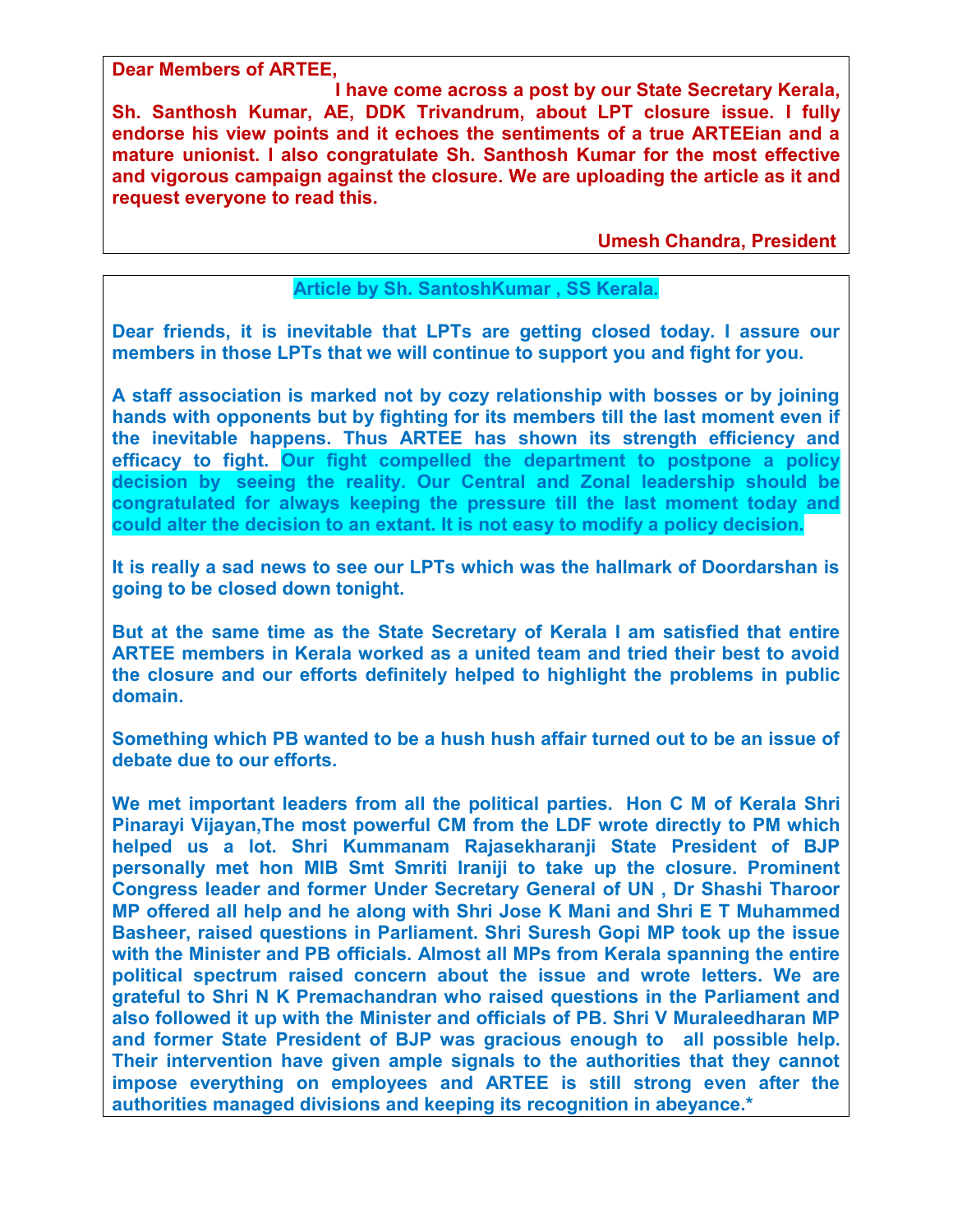**Dear Members of ARTEE,** 

 **I have come across a post by our State Secretary Kerala, Sh. Santhosh Kumar, AE, DDK Trivandrum, about LPT closure issue. I fully endorse his view points and it echoes the sentiments of a true ARTEEian and a mature unionist. I also congratulate Sh. Santhosh Kumar for the most effective and vigorous campaign against the closure. We are uploading the article as it and request everyone to read this.** 

 **Umesh Chandra, President** 

## **Article by Sh. SantoshKumar , SS Kerala.**

**Dear friends, it is inevitable that LPTs are getting closed today. I assure our members in those LPTs that we will continue to support you and fight for you.** 

**A staff association is marked not by cozy relationship with bosses or by joining hands with opponents but by fighting for its members till the last moment even if the inevitable happens. Thus ARTEE has shown its strength efficiency and efficacy to fight. Our fight compelled the department to postpone a policy decision by seeing the reality. Our Central and Zonal leadership should be congratulated for always keeping the pressure till the last moment today and could alter the decision to an extant. It is not easy to modify a policy decision.** 

**It is really a sad news to see our LPTs which was the hallmark of Doordarshan is going to be closed down tonight.** 

**But at the same time as the State Secretary of Kerala I am satisfied that entire ARTEE members in Kerala worked as a united team and tried their best to avoid the closure and our efforts definitely helped to highlight the problems in public domain.** 

**Something which PB wanted to be a hush hush affair turned out to be an issue of debate due to our efforts.** 

**We met important leaders from all the political parties. Hon C M of Kerala Shri Pinarayi Vijayan,The most powerful CM from the LDF wrote directly to PM which helped us a lot. Shri Kummanam Rajasekharanji State President of BJP personally met hon MIB Smt Smriti Iraniji to take up the closure. Prominent Congress leader and former Under Secretary General of UN , Dr Shashi Tharoor MP offered all help and he along with Shri Jose K Mani and Shri E T Muhammed Basheer, raised questions in Parliament. Shri Suresh Gopi MP took up the issue with the Minister and PB officials. Almost all MPs from Kerala spanning the entire political spectrum raised concern about the issue and wrote letters. We are grateful to Shri N K Premachandran who raised questions in the Parliament and also followed it up with the Minister and officials of PB. Shri V Muraleedharan MP and former State President of BJP was gracious enough to all possible help. Their intervention have given ample signals to the authorities that they cannot impose everything on employees and ARTEE is still strong even after the authorities managed divisions and keeping its recognition in abeyance.\***